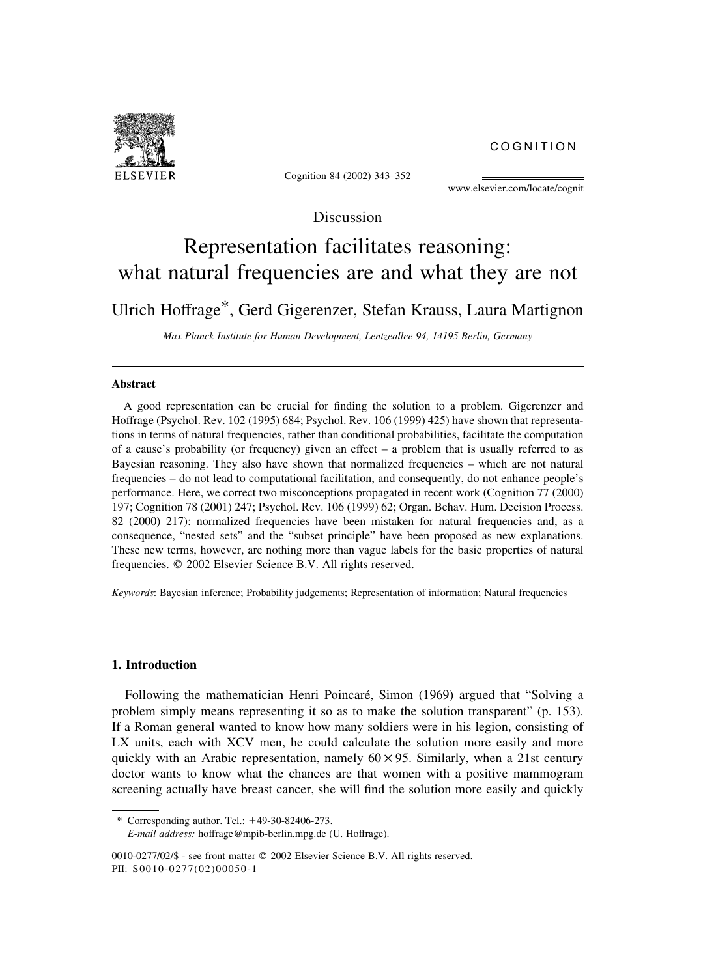COGNITION



Cognition 84 (2002) 343–352

U. Hoffrage et al. / Cognition 84 (2002) 343–352 343–352 343–352 343–352 343–352 343–352 343–352 343–352 343–352<br>Statistics and Statistics and Statistics and Statistics and Statistics and Statistics and Statistics and Stat

www.elsevier.com/locate/cognit

Discussion

# Representation facilitates reasoning: what natural frequencies are and what they are not

Ulrich Hoffrage\*, Gerd Gigerenzer, Stefan Krauss, Laura Martignon

Max Planck Institute for Human Development, Lentzeallee 94, 14195 Berlin, Germany

#### Abstract

A good representation can be crucial for finding the solution to a problem. Gigerenzer and Hoffrage (Psychol. Rev. 102 (1995) 684; Psychol. Rev. 106 (1999) 425) have shown that representations in terms of natural frequencies, rather than conditional probabilities, facilitate the computation of a cause's probability (or frequency) given an effect – a problem that is usually referred to as Bayesian reasoning. They also have shown that normalized frequencies – which are not natural frequencies – do not lead to computational facilitation, and consequently, do not enhance people's performance. Here, we correct two misconceptions propagated in recent work (Cognition 77 (2000) 197; Cognition 78 (2001) 247; Psychol. Rev. 106 (1999) 62; Organ. Behav. Hum. Decision Process. 82 (2000) 217): normalized frequencies have been mistaken for natural frequencies and, as a consequence, "nested sets" and the "subset principle" have been proposed as new explanations. These new terms, however, are nothing more than vague labels for the basic properties of natural frequencies.  $\oslash$  2002 Elsevier Science B.V. All rights reserved.

Keywords: Bayesian inference; Probability judgements; Representation of information; Natural frequencies

#### 1. Introduction

Following the mathematician Henri Poincaré, Simon (1969) argued that "Solving a problem simply means representing it so as to make the solution transparent" (p. 153). If a Roman general wanted to know how many soldiers were in his legion, consisting of LX units, each with XCV men, he could calculate the solution more easily and more quickly with an Arabic representation, namely  $60 \times 95$ . Similarly, when a 21st century doctor wants to know what the chances are that women with a positive mammogram screening actually have breast cancer, she will find the solution more easily and quickly

 $*$  Corresponding author. Tel.:  $+49-30-82406-273$ . E-mail address: hoffrage@mpib-berlin.mpg.de (U. Hoffrage).

<sup>0010-0277/02/\$ -</sup> see front matter © 2002 Elsevier Science B.V. All rights reserved. PII: S0010-0277(02)00050-1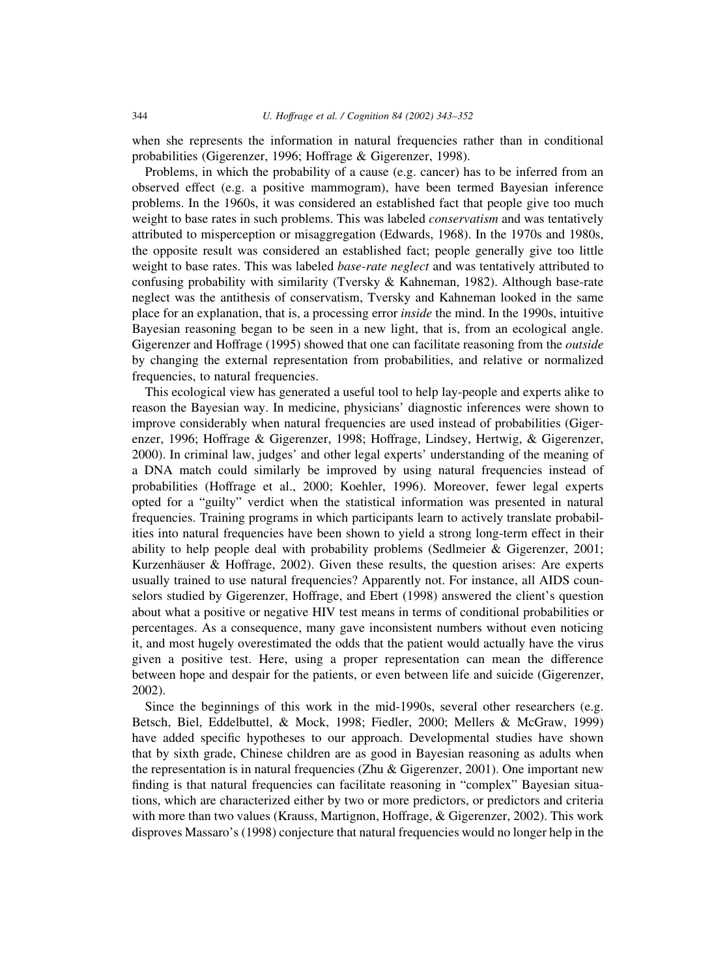when she represents the information in natural frequencies rather than in conditional probabilities (Gigerenzer, 1996; Hoffrage & Gigerenzer, 1998).

Problems, in which the probability of a cause (e.g. cancer) has to be inferred from an observed effect (e.g. a positive mammogram), have been termed Bayesian inference problems. In the 1960s, it was considered an established fact that people give too much weight to base rates in such problems. This was labeled conservatism and was tentatively attributed to misperception or misaggregation (Edwards, 1968). In the 1970s and 1980s, the opposite result was considered an established fact; people generally give too little weight to base rates. This was labeled *base-rate neglect* and was tentatively attributed to confusing probability with similarity (Tversky & Kahneman, 1982). Although base-rate neglect was the antithesis of conservatism, Tversky and Kahneman looked in the same place for an explanation, that is, a processing error inside the mind. In the 1990s, intuitive Bayesian reasoning began to be seen in a new light, that is, from an ecological angle. Gigerenzer and Hoffrage (1995) showed that one can facilitate reasoning from the *outside* by changing the external representation from probabilities, and relative or normalized frequencies, to natural frequencies.

This ecological view has generated a useful tool to help lay-people and experts alike to reason the Bayesian way. In medicine, physicians' diagnostic inferences were shown to improve considerably when natural frequencies are used instead of probabilities (Gigerenzer, 1996; Hoffrage & Gigerenzer, 1998; Hoffrage, Lindsey, Hertwig, & Gigerenzer, 2000). In criminal law, judges' and other legal experts' understanding of the meaning of a DNA match could similarly be improved by using natural frequencies instead of probabilities (Hoffrage et al., 2000; Koehler, 1996). Moreover, fewer legal experts opted for a "guilty" verdict when the statistical information was presented in natural frequencies. Training programs in which participants learn to actively translate probabilities into natural frequencies have been shown to yield a strong long-term effect in their ability to help people deal with probability problems (Sedlmeier & Gigerenzer, 2001; Kurzenhäuser & Hoffrage, 2002). Given these results, the question arises: Are experts usually trained to use natural frequencies? Apparently not. For instance, all AIDS counselors studied by Gigerenzer, Hoffrage, and Ebert (1998) answered the client's question about what a positive or negative HIV test means in terms of conditional probabilities or percentages. As a consequence, many gave inconsistent numbers without even noticing it, and most hugely overestimated the odds that the patient would actually have the virus given a positive test. Here, using a proper representation can mean the difference between hope and despair for the patients, or even between life and suicide (Gigerenzer, 2002).

Since the beginnings of this work in the mid-1990s, several other researchers (e.g. Betsch, Biel, Eddelbuttel, & Mock, 1998; Fiedler, 2000; Mellers & McGraw, 1999) have added specific hypotheses to our approach. Developmental studies have shown that by sixth grade, Chinese children are as good in Bayesian reasoning as adults when the representation is in natural frequencies (Zhu & Gigerenzer, 2001). One important new finding is that natural frequencies can facilitate reasoning in "complex" Bayesian situations, which are characterized either by two or more predictors, or predictors and criteria with more than two values (Krauss, Martignon, Hoffrage, & Gigerenzer, 2002). This work disproves Massaro's (1998) conjecture that natural frequencies would no longer help in the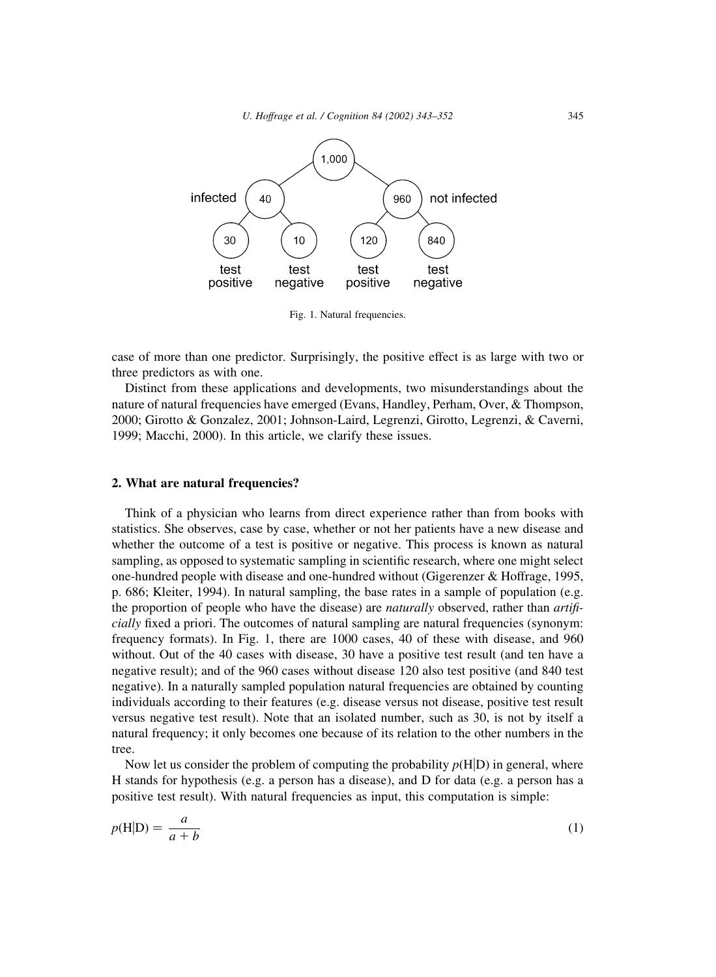

Fig. 1. Natural frequencies.

case of more than one predictor. Surprisingly, the positive effect is as large with two or three predictors as with one.

Distinct from these applications and developments, two misunderstandings about the nature of natural frequencies have emerged (Evans, Handley, Perham, Over, & Thompson, 2000; Girotto & Gonzalez, 2001; Johnson-Laird, Legrenzi, Girotto, Legrenzi, & Caverni, 1999; Macchi, 2000). In this article, we clarify these issues.

### 2. What are natural frequencies?

Think of a physician who learns from direct experience rather than from books with statistics. She observes, case by case, whether or not her patients have a new disease and whether the outcome of a test is positive or negative. This process is known as natural sampling, as opposed to systematic sampling in scientific research, where one might select one-hundred people with disease and one-hundred without (Gigerenzer & Hoffrage, 1995, p. 686; Kleiter, 1994). In natural sampling, the base rates in a sample of population (e.g. the proportion of people who have the disease) are *naturally* observed, rather than *artifi*cially fixed a priori. The outcomes of natural sampling are natural frequencies (synonym: frequency formats). In Fig. 1, there are 1000 cases, 40 of these with disease, and 960 without. Out of the 40 cases with disease, 30 have a positive test result (and ten have a negative result); and of the 960 cases without disease 120 also test positive (and 840 test negative). In a naturally sampled population natural frequencies are obtained by counting individuals according to their features (e.g. disease versus not disease, positive test result versus negative test result). Note that an isolated number, such as 30, is not by itself a natural frequency; it only becomes one because of its relation to the other numbers in the tree.

Now let us consider the problem of computing the probability  $p(H|D)$  in general, where H stands for hypothesis (e.g. a person has a disease), and D for data (e.g. a person has a positive test result). With natural frequencies as input, this computation is simple:

$$
p(\mathbf{H}|\mathbf{D}) = \frac{a}{a+b} \tag{1}
$$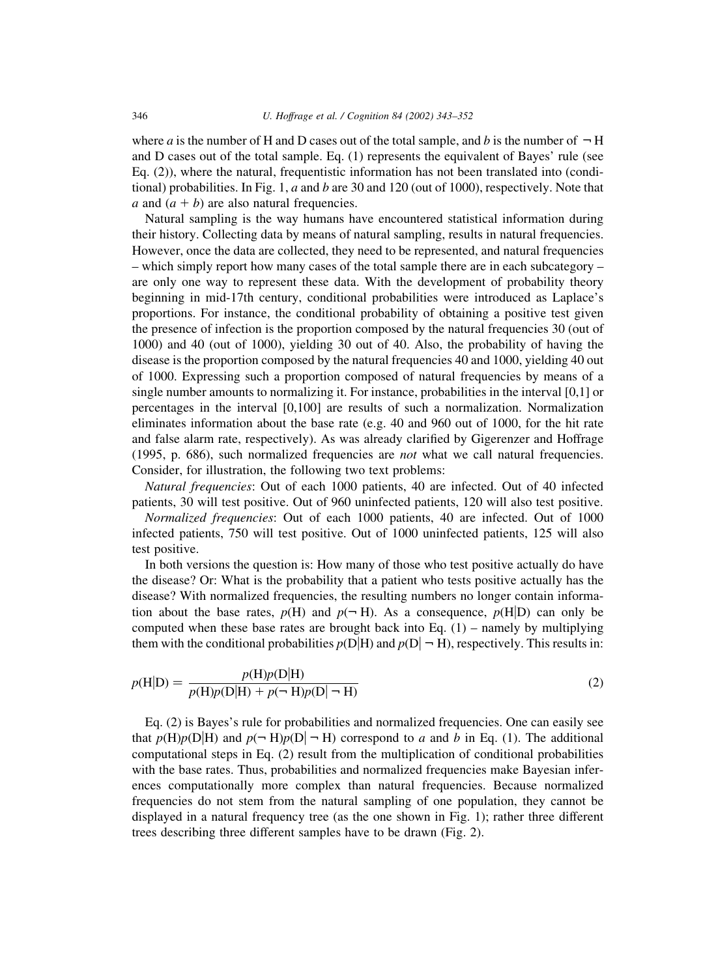where a is the number of H and D cases out of the total sample, and b is the number of  $\neg$  H and D cases out of the total sample. Eq. (1) represents the equivalent of Bayes' rule (see Eq. (2)), where the natural, frequentistic information has not been translated into (conditional) probabilities. In Fig. 1,  $a$  and  $b$  are 30 and 120 (out of 1000), respectively. Note that a and  $(a + b)$  are also natural frequencies.

Natural sampling is the way humans have encountered statistical information during their history. Collecting data by means of natural sampling, results in natural frequencies. However, once the data are collected, they need to be represented, and natural frequencies – which simply report how many cases of the total sample there are in each subcategory – are only one way to represent these data. With the development of probability theory beginning in mid-17th century, conditional probabilities were introduced as Laplace's proportions. For instance, the conditional probability of obtaining a positive test given the presence of infection is the proportion composed by the natural frequencies 30 (out of 1000) and 40 (out of 1000), yielding 30 out of 40. Also, the probability of having the disease is the proportion composed by the natural frequencies 40 and 1000, yielding 40 out of 1000. Expressing such a proportion composed of natural frequencies by means of a single number amounts to normalizing it. For instance, probabilities in the interval [0,1] or percentages in the interval [0,100] are results of such a normalization. Normalization eliminates information about the base rate (e.g. 40 and 960 out of 1000, for the hit rate and false alarm rate, respectively). As was already clarified by Gigerenzer and Hoffrage (1995, p. 686), such normalized frequencies are not what we call natural frequencies. Consider, for illustration, the following two text problems:

Natural frequencies: Out of each 1000 patients, 40 are infected. Out of 40 infected patients, 30 will test positive. Out of 960 uninfected patients, 120 will also test positive. Normalized frequencies: Out of each 1000 patients, 40 are infected. Out of 1000

infected patients, 750 will test positive. Out of 1000 uninfected patients, 125 will also test positive.

In both versions the question is: How many of those who test positive actually do have the disease? Or: What is the probability that a patient who tests positive actually has the disease? With normalized frequencies, the resulting numbers no longer contain information about the base rates,  $p(H)$  and  $p(\neg H)$ . As a consequence,  $p(H|D)$  can only be computed when these base rates are brought back into Eq.  $(1)$  – namely by multiplying them with the conditional probabilities  $p(D|H)$  and  $p(D|\neg H)$ , respectively. This results in:

$$
p(\mathbf{H}|\mathbf{D}) = \frac{p(\mathbf{H})p(\mathbf{D}|\mathbf{H})}{p(\mathbf{H})p(\mathbf{D}|\mathbf{H}) + p(\neg \mathbf{H})p(\mathbf{D}|\neg \mathbf{H})}
$$
(2)

Eq. (2) is Bayes's rule for probabilities and normalized frequencies. One can easily see that  $p(H)p(D|H)$  and  $p(\neg H)p(D|\neg H)$  correspond to a and b in Eq. (1). The additional computational steps in Eq. (2) result from the multiplication of conditional probabilities with the base rates. Thus, probabilities and normalized frequencies make Bayesian inferences computationally more complex than natural frequencies. Because normalized frequencies do not stem from the natural sampling of one population, they cannot be displayed in a natural frequency tree (as the one shown in Fig. 1); rather three different trees describing three different samples have to be drawn (Fig. 2).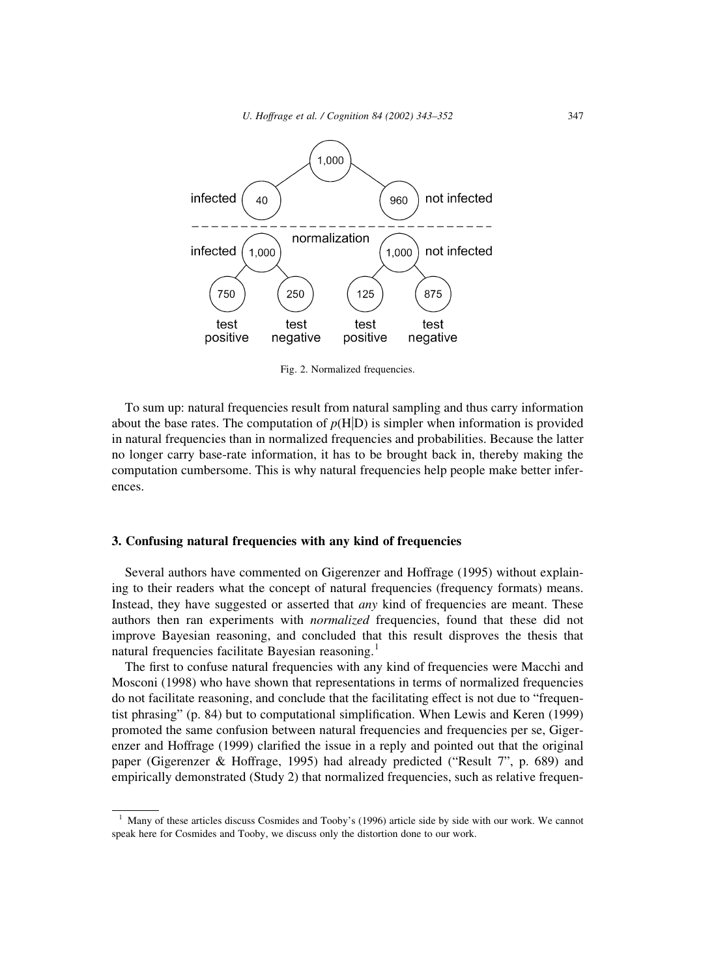

Fig. 2. Normalized frequencies.

To sum up: natural frequencies result from natural sampling and thus carry information about the base rates. The computation of  $p(H|D)$  is simpler when information is provided in natural frequencies than in normalized frequencies and probabilities. Because the latter no longer carry base-rate information, it has to be brought back in, thereby making the computation cumbersome. This is why natural frequencies help people make better inferences.

### 3. Confusing natural frequencies with any kind of frequencies

Several authors have commented on Gigerenzer and Hoffrage (1995) without explaining to their readers what the concept of natural frequencies (frequency formats) means. Instead, they have suggested or asserted that *any* kind of frequencies are meant. These authors then ran experiments with normalized frequencies, found that these did not improve Bayesian reasoning, and concluded that this result disproves the thesis that natural frequencies facilitate Bayesian reasoning.<sup>1</sup>

The first to confuse natural frequencies with any kind of frequencies were Macchi and Mosconi (1998) who have shown that representations in terms of normalized frequencies do not facilitate reasoning, and conclude that the facilitating effect is not due to "frequentist phrasing" (p. 84) but to computational simplification. When Lewis and Keren (1999) promoted the same confusion between natural frequencies and frequencies per se, Gigerenzer and Hoffrage (1999) clarified the issue in a reply and pointed out that the original paper (Gigerenzer & Hoffrage, 1995) had already predicted ("Result 7", p. 689) and empirically demonstrated (Study 2) that normalized frequencies, such as relative frequen-

<sup>&</sup>lt;sup>1</sup> Many of these articles discuss Cosmides and Tooby's (1996) article side by side with our work. We cannot speak here for Cosmides and Tooby, we discuss only the distortion done to our work.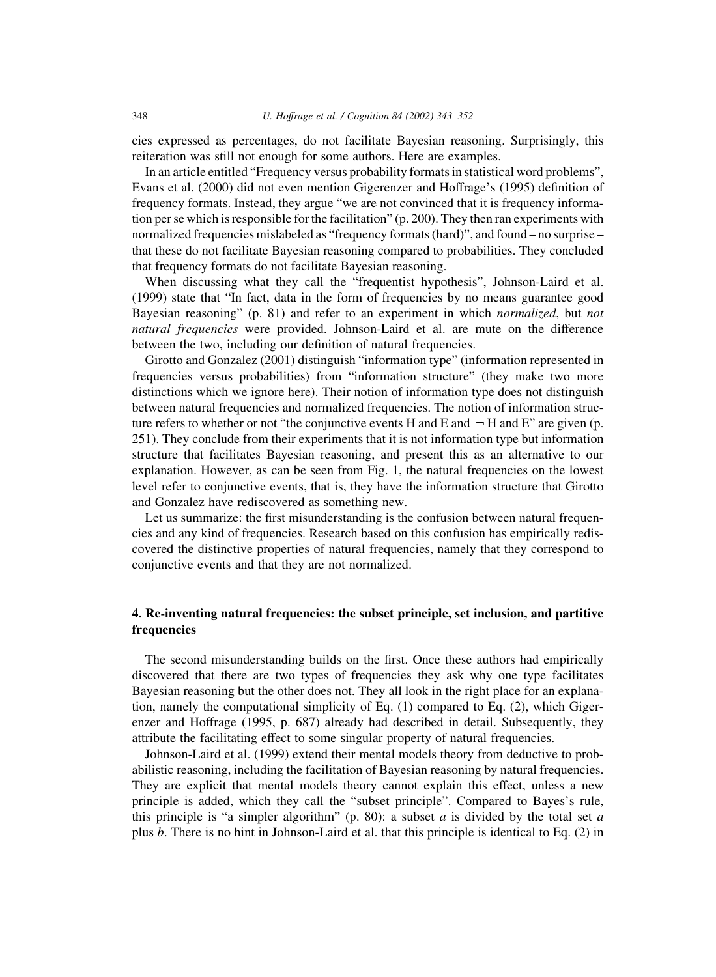cies expressed as percentages, do not facilitate Bayesian reasoning. Surprisingly, this reiteration was still not enough for some authors. Here are examples.

In an article entitled "Frequency versus probability formats in statistical word problems", Evans et al. (2000) did not even mention Gigerenzer and Hoffrage's (1995) definition of frequency formats. Instead, they argue "we are not convinced that it is frequency information per se which is responsible for the facilitation" (p. 200). They then ran experiments with normalized frequencies mislabeled as "frequency formats (hard)", and found – no surprise – that these do not facilitate Bayesian reasoning compared to probabilities. They concluded that frequency formats do not facilitate Bayesian reasoning.

When discussing what they call the "frequentist hypothesis", Johnson-Laird et al. (1999) state that "In fact, data in the form of frequencies by no means guarantee good Bayesian reasoning" (p. 81) and refer to an experiment in which normalized, but not natural frequencies were provided. Johnson-Laird et al. are mute on the difference between the two, including our definition of natural frequencies.

Girotto and Gonzalez (2001) distinguish "information type" (information represented in frequencies versus probabilities) from "information structure" (they make two more distinctions which we ignore here). Their notion of information type does not distinguish between natural frequencies and normalized frequencies. The notion of information structure refers to whether or not "the conjunctive events H and E and  $-$  H and E" are given (p. 251). They conclude from their experiments that it is not information type but information structure that facilitates Bayesian reasoning, and present this as an alternative to our explanation. However, as can be seen from Fig. 1, the natural frequencies on the lowest level refer to conjunctive events, that is, they have the information structure that Girotto and Gonzalez have rediscovered as something new.

Let us summarize: the first misunderstanding is the confusion between natural frequencies and any kind of frequencies. Research based on this confusion has empirically rediscovered the distinctive properties of natural frequencies, namely that they correspond to conjunctive events and that they are not normalized.

## 4. Re-inventing natural frequencies: the subset principle, set inclusion, and partitive frequencies

The second misunderstanding builds on the first. Once these authors had empirically discovered that there are two types of frequencies they ask why one type facilitates Bayesian reasoning but the other does not. They all look in the right place for an explanation, namely the computational simplicity of Eq.  $(1)$  compared to Eq.  $(2)$ , which Gigerenzer and Hoffrage (1995, p. 687) already had described in detail. Subsequently, they attribute the facilitating effect to some singular property of natural frequencies.

Johnson-Laird et al. (1999) extend their mental models theory from deductive to probabilistic reasoning, including the facilitation of Bayesian reasoning by natural frequencies. They are explicit that mental models theory cannot explain this effect, unless a new principle is added, which they call the "subset principle". Compared to Bayes's rule, this principle is "a simpler algorithm" (p. 80): a subset a is divided by the total set a plus b. There is no hint in Johnson-Laird et al. that this principle is identical to Eq. (2) in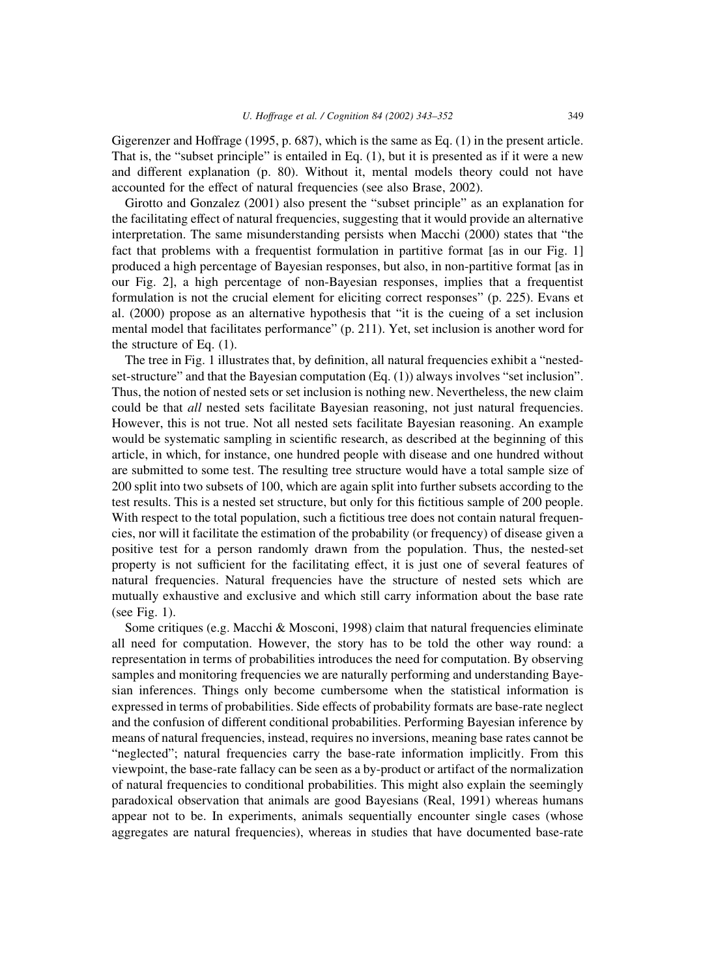Gigerenzer and Hoffrage (1995, p. 687), which is the same as Eq. (1) in the present article. That is, the "subset principle" is entailed in Eq. (1), but it is presented as if it were a new and different explanation (p. 80). Without it, mental models theory could not have accounted for the effect of natural frequencies (see also Brase, 2002).

Girotto and Gonzalez (2001) also present the "subset principle" as an explanation for the facilitating effect of natural frequencies, suggesting that it would provide an alternative interpretation. The same misunderstanding persists when Macchi (2000) states that "the fact that problems with a frequentist formulation in partitive format [as in our Fig. 1] produced a high percentage of Bayesian responses, but also, in non-partitive format [as in our Fig. 2], a high percentage of non-Bayesian responses, implies that a frequentist formulation is not the crucial element for eliciting correct responses" (p. 225). Evans et al. (2000) propose as an alternative hypothesis that "it is the cueing of a set inclusion mental model that facilitates performance" (p. 211). Yet, set inclusion is another word for the structure of Eq. (1).

The tree in Fig. 1 illustrates that, by definition, all natural frequencies exhibit a "nestedset-structure" and that the Bayesian computation (Eq. (1)) always involves "set inclusion". Thus, the notion of nested sets or set inclusion is nothing new. Nevertheless, the new claim could be that *all* nested sets facilitate Bayesian reasoning, not just natural frequencies. However, this is not true. Not all nested sets facilitate Bayesian reasoning. An example would be systematic sampling in scientific research, as described at the beginning of this article, in which, for instance, one hundred people with disease and one hundred without are submitted to some test. The resulting tree structure would have a total sample size of 200 split into two subsets of 100, which are again split into further subsets according to the test results. This is a nested set structure, but only for this fictitious sample of 200 people. With respect to the total population, such a fictitious tree does not contain natural frequencies, nor will it facilitate the estimation of the probability (or frequency) of disease given a positive test for a person randomly drawn from the population. Thus, the nested-set property is not sufficient for the facilitating effect, it is just one of several features of natural frequencies. Natural frequencies have the structure of nested sets which are mutually exhaustive and exclusive and which still carry information about the base rate (see Fig. 1).

Some critiques (e.g. Macchi & Mosconi, 1998) claim that natural frequencies eliminate all need for computation. However, the story has to be told the other way round: a representation in terms of probabilities introduces the need for computation. By observing samples and monitoring frequencies we are naturally performing and understanding Bayesian inferences. Things only become cumbersome when the statistical information is expressed in terms of probabilities. Side effects of probability formats are base-rate neglect and the confusion of different conditional probabilities. Performing Bayesian inference by means of natural frequencies, instead, requires no inversions, meaning base rates cannot be "neglected"; natural frequencies carry the base-rate information implicitly. From this viewpoint, the base-rate fallacy can be seen as a by-product or artifact of the normalization of natural frequencies to conditional probabilities. This might also explain the seemingly paradoxical observation that animals are good Bayesians (Real, 1991) whereas humans appear not to be. In experiments, animals sequentially encounter single cases (whose aggregates are natural frequencies), whereas in studies that have documented base-rate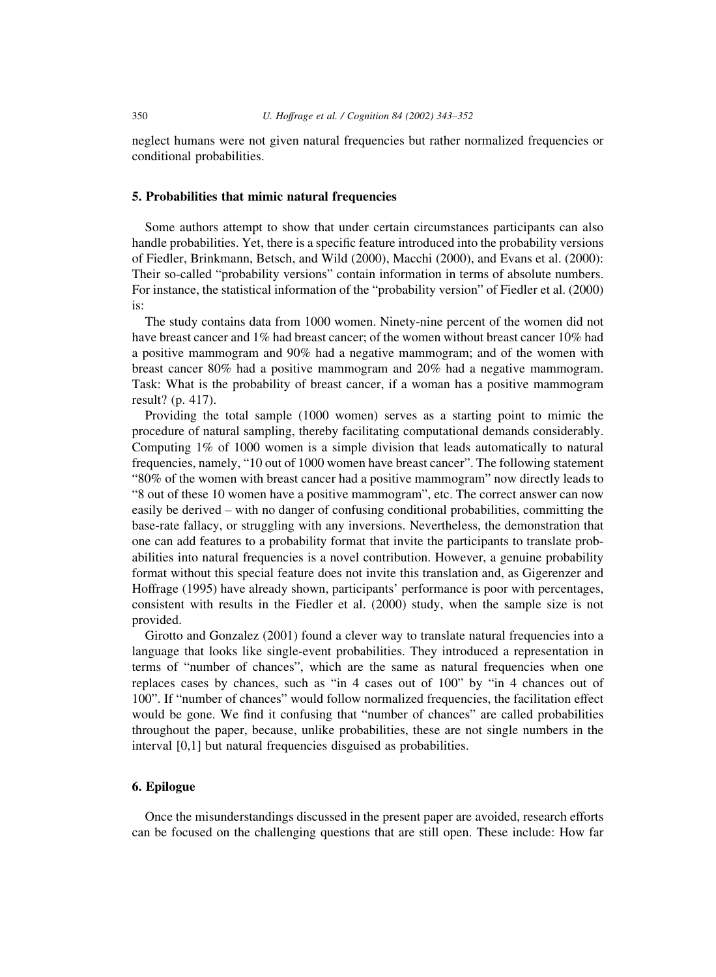neglect humans were not given natural frequencies but rather normalized frequencies or conditional probabilities.

#### 5. Probabilities that mimic natural frequencies

Some authors attempt to show that under certain circumstances participants can also handle probabilities. Yet, there is a specific feature introduced into the probability versions of Fiedler, Brinkmann, Betsch, and Wild (2000), Macchi (2000), and Evans et al. (2000): Their so-called "probability versions" contain information in terms of absolute numbers. For instance, the statistical information of the "probability version" of Fiedler et al. (2000) is:

The study contains data from 1000 women. Ninety-nine percent of the women did not have breast cancer and 1% had breast cancer; of the women without breast cancer 10% had a positive mammogram and 90% had a negative mammogram; and of the women with breast cancer 80% had a positive mammogram and 20% had a negative mammogram. Task: What is the probability of breast cancer, if a woman has a positive mammogram result? (p. 417).

Providing the total sample (1000 women) serves as a starting point to mimic the procedure of natural sampling, thereby facilitating computational demands considerably. Computing 1% of 1000 women is a simple division that leads automatically to natural frequencies, namely, "10 out of 1000 women have breast cancer". The following statement "80% of the women with breast cancer had a positive mammogram" now directly leads to "8 out of these 10 women have a positive mammogram", etc. The correct answer can now easily be derived – with no danger of confusing conditional probabilities, committing the base-rate fallacy, or struggling with any inversions. Nevertheless, the demonstration that one can add features to a probability format that invite the participants to translate probabilities into natural frequencies is a novel contribution. However, a genuine probability format without this special feature does not invite this translation and, as Gigerenzer and Hoffrage (1995) have already shown, participants' performance is poor with percentages, consistent with results in the Fiedler et al. (2000) study, when the sample size is not provided.

Girotto and Gonzalez (2001) found a clever way to translate natural frequencies into a language that looks like single-event probabilities. They introduced a representation in terms of "number of chances", which are the same as natural frequencies when one replaces cases by chances, such as "in 4 cases out of 100" by "in 4 chances out of 100". If "number of chances" would follow normalized frequencies, the facilitation effect would be gone. We find it confusing that "number of chances" are called probabilities throughout the paper, because, unlike probabilities, these are not single numbers in the interval [0,1] but natural frequencies disguised as probabilities.

## 6. Epilogue

Once the misunderstandings discussed in the present paper are avoided, research efforts can be focused on the challenging questions that are still open. These include: How far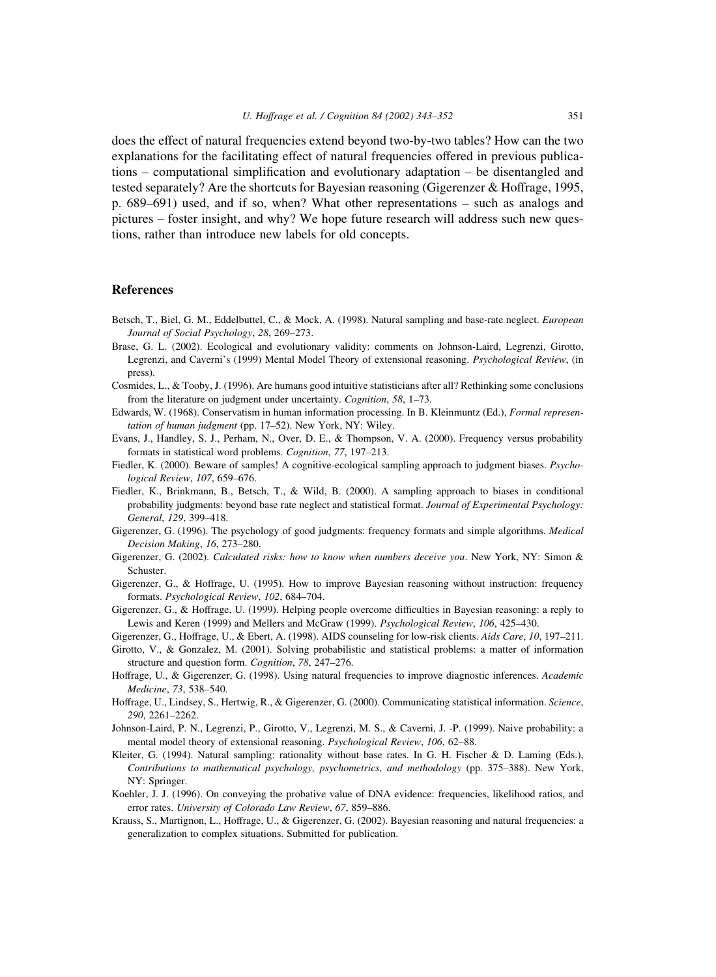does the effect of natural frequencies extend beyond two-by-two tables? How can the two explanations for the facilitating effect of natural frequencies offered in previous publications – computational simplification and evolutionary adaptation – be disentangled and tested separately? Are the shortcuts for Bayesian reasoning (Gigerenzer & Hoffrage, 1995, p. 689–691) used, and if so, when? What other representations – such as analogs and pictures – foster insight, and why? We hope future research will address such new questions, rather than introduce new labels for old concepts.

#### References

- Betsch, T., Biel, G. M., Eddelbuttel, C., & Mock, A. (1998). Natural sampling and base-rate neglect. European Journal of Social Psychology, 28, 269–273.
- Brase, G. L. (2002). Ecological and evolutionary validity: comments on Johnson-Laird, Legrenzi, Girotto, Legrenzi, and Caverni's (1999) Mental Model Theory of extensional reasoning. Psychological Review, (in press).
- Cosmides, L., & Tooby, J. (1996). Are humans good intuitive statisticians after all? Rethinking some conclusions from the literature on judgment under uncertainty. Cognition, 58, 1–73.
- Edwards, W. (1968). Conservatism in human information processing. In B. Kleinmuntz (Ed.), Formal representation of human judgment (pp. 17–52). New York, NY: Wiley.
- Evans, J., Handley, S. J., Perham, N., Over, D. E., & Thompson, V. A. (2000). Frequency versus probability formats in statistical word problems. Cognition, 77, 197–213.
- Fiedler, K. (2000). Beware of samples! A cognitive-ecological sampling approach to judgment biases. Psychological Review, 107, 659–676.
- Fiedler, K., Brinkmann, B., Betsch, T., & Wild, B. (2000). A sampling approach to biases in conditional probability judgments: beyond base rate neglect and statistical format. Journal of Experimental Psychology: General, 129, 399–418.
- Gigerenzer, G. (1996). The psychology of good judgments: frequency formats and simple algorithms. Medical Decision Making, 16, 273–280.
- Gigerenzer, G. (2002). Calculated risks: how to know when numbers deceive you. New York, NY: Simon & Schuster.
- Gigerenzer, G., & Hoffrage, U. (1995). How to improve Bayesian reasoning without instruction: frequency formats. Psychological Review, 102, 684–704.
- Gigerenzer, G., & Hoffrage, U. (1999). Helping people overcome difficulties in Bayesian reasoning: a reply to Lewis and Keren (1999) and Mellers and McGraw (1999). Psychological Review, 106, 425–430.
- Gigerenzer, G., Hoffrage, U., & Ebert, A. (1998). AIDS counseling for low-risk clients. Aids Care, 10, 197–211.
- Girotto, V., & Gonzalez, M. (2001). Solving probabilistic and statistical problems: a matter of information structure and question form. Cognition, 78, 247–276.
- Hoffrage, U., & Gigerenzer, G. (1998). Using natural frequencies to improve diagnostic inferences. Academic Medicine, 73, 538–540.
- Hoffrage, U., Lindsey, S., Hertwig, R., & Gigerenzer, G. (2000). Communicating statistical information. Science, 290, 2261–2262.
- Johnson-Laird, P. N., Legrenzi, P., Girotto, V., Legrenzi, M. S., & Caverni, J. -P. (1999). Naive probability: a mental model theory of extensional reasoning. Psychological Review, 106, 62–88.
- Kleiter, G. (1994). Natural sampling: rationality without base rates. In G. H. Fischer & D. Laming (Eds.), Contributions to mathematical psychology, psychometrics, and methodology (pp. 375–388). New York, NY: Springer.
- Koehler, J. J. (1996). On conveying the probative value of DNA evidence: frequencies, likelihood ratios, and error rates. University of Colorado Law Review, 67, 859–886.
- Krauss, S., Martignon, L., Hoffrage, U., & Gigerenzer, G. (2002). Bayesian reasoning and natural frequencies: a generalization to complex situations. Submitted for publication.